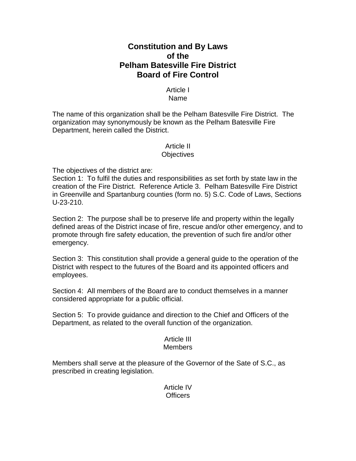# **Constitution and By Laws of the Pelham Batesville Fire District Board of Fire Control**

# Article I Name

The name of this organization shall be the Pelham Batesville Fire District. The organization may synonymously be known as the Pelham Batesville Fire Department, herein called the District.

### Article II **Objectives**

The objectives of the district are:

Section 1: To fulfil the duties and responsibilities as set forth by state law in the creation of the Fire District. Reference Article 3. Pelham Batesville Fire District in Greenville and Spartanburg counties (form no. 5) S.C. Code of Laws, Sections U-23-210.

Section 2: The purpose shall be to preserve life and property within the legally defined areas of the District incase of fire, rescue and/or other emergency, and to promote through fire safety education, the prevention of such fire and/or other emergency.

Section 3: This constitution shall provide a general guide to the operation of the District with respect to the futures of the Board and its appointed officers and employees.

Section 4: All members of the Board are to conduct themselves in a manner considered appropriate for a public official.

Section 5: To provide guidance and direction to the Chief and Officers of the Department, as related to the overall function of the organization.

# Article III

# Members

Members shall serve at the pleasure of the Governor of the Sate of S.C., as prescribed in creating legislation.

> Article IV **Officers**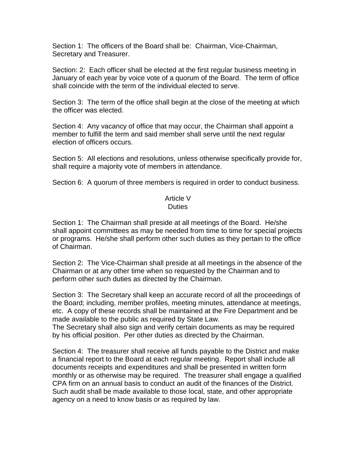Section 1: The officers of the Board shall be: Chairman, Vice-Chairman, Secretary and Treasurer.

Section: 2: Each officer shall be elected at the first regular business meeting in January of each year by voice vote of a quorum of the Board. The term of office shall coincide with the term of the individual elected to serve.

Section 3: The term of the office shall begin at the close of the meeting at which the officer was elected.

Section 4: Any vacancy of office that may occur, the Chairman shall appoint a member to fulfill the term and said member shall serve until the next regular election of officers occurs.

Section 5: All elections and resolutions, unless otherwise specifically provide for, shall require a majority vote of members in attendance.

Section 6: A quorum of three members is required in order to conduct business.

#### Article V **Duties**

Section 1: The Chairman shall preside at all meetings of the Board. He/she shall appoint committees as may be needed from time to time for special projects or programs. He/she shall perform other such duties as they pertain to the office of Chairman.

Section 2: The Vice-Chairman shall preside at all meetings in the absence of the Chairman or at any other time when so requested by the Chairman and to perform other such duties as directed by the Chairman.

Section 3: The Secretary shall keep an accurate record of all the proceedings of the Board; including, member profiles, meeting minutes, attendance at meetings, etc. A copy of these records shall be maintained at the Fire Department and be made available to the public as required by State Law.

The Secretary shall also sign and verify certain documents as may be required by his official position. Per other duties as directed by the Chairman.

Section 4: The treasurer shall receive all funds payable to the District and make a financial report to the Board at each regular meeting. Report shall include all documents receipts and expenditures and shall be presented in written form monthly or as otherwise may be required. The treasurer shall engage a qualified CPA firm on an annual basis to conduct an audit of the finances of the District. Such audit shall be made available to those local, state, and other appropriate agency on a need to know basis or as required by law.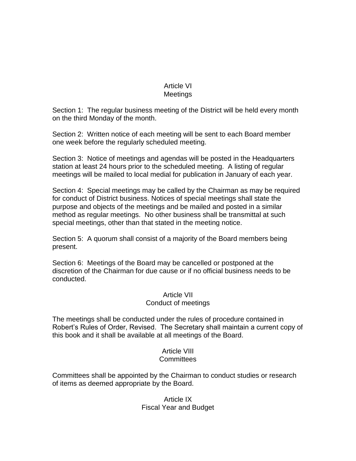# Article VI Meetings

Section 1: The regular business meeting of the District will be held every month on the third Monday of the month.

Section 2: Written notice of each meeting will be sent to each Board member one week before the regularly scheduled meeting.

Section 3: Notice of meetings and agendas will be posted in the Headquarters station at least 24 hours prior to the scheduled meeting. A listing of regular meetings will be mailed to local medial for publication in January of each year.

Section 4: Special meetings may be called by the Chairman as may be required for conduct of District business. Notices of special meetings shall state the purpose and objects of the meetings and be mailed and posted in a similar method as regular meetings. No other business shall be transmittal at such special meetings, other than that stated in the meeting notice.

Section 5: A quorum shall consist of a majority of the Board members being present.

Section 6: Meetings of the Board may be cancelled or postponed at the discretion of the Chairman for due cause or if no official business needs to be conducted.

# Article VII

### Conduct of meetings

The meetings shall be conducted under the rules of procedure contained in Robert's Rules of Order, Revised. The Secretary shall maintain a current copy of this book and it shall be available at all meetings of the Board.

# Article VIII **Committees**

Committees shall be appointed by the Chairman to conduct studies or research of items as deemed appropriate by the Board.

# Article IX Fiscal Year and Budget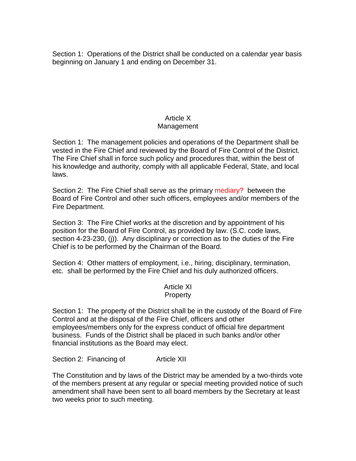Section 1: Operations of the District shall be conducted on a calendar year basis beginning on January 1 and ending on December 31.

# Article X

# Management

Section 1: The management policies and operations of the Department shall be vested in the Fire Chief and reviewed by the Board of Fire Control of the District. The Fire Chief shall in force such policy and procedures that, within the best of his knowledge and authority, comply with all applicable Federal, State, and local laws.

Section 2: The Fire Chief shall serve as the primary mediary? between the Board of Fire Control and other such officers, employees and/or members of the Fire Department.

Section 3: The Fire Chief works at the discretion and by appointment of his position for the Board of Fire Control, as provided by law. (S.C. code laws, section 4-23-230, (j)). Any disciplinary or correction as to the duties of the Fire Chief is to be performed by the Chairman of the Board.

Section 4: Other matters of employment, i.e., hiring, disciplinary, termination, etc. shall be performed by the Fire Chief and his duly authorized officers.

#### Article XI **Property**

Section 1: The property of the District shall be in the custody of the Board of Fire Control and at the disposal of the Fire Chief, officers and other employees/members only for the express conduct of official fire department business. Funds of the District shall be placed in such banks and/or other financial institutions as the Board may elect.

Section 2: Financing of Article XII

The Constitution and by laws of the District may be amended by a two-thirds vote of the members present at any regular or special meeting provided notice of such amendment shall have been sent to all board members by the Secretary at least two weeks prior to such meeting.